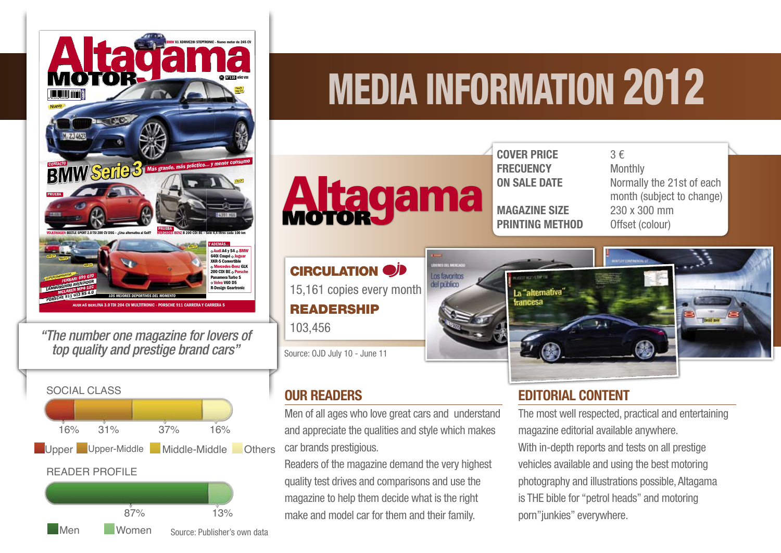

*"The number one magazine for lovers of top quality and prestige brand cars"*



# Media Information 2012



COVER PRICE  $3 \in$ **FRECUENCY** Monthly

**MAGAZINE SIZE** 230 x 300 mm **PRINTING METHOD** Offset (colour)

**ON SALE DATE** Normally the 21st of each month (subject to change)



## EDITORIAL CONTENT

The most well respected, practical and entertaining magazine editorial available anywhere. With in-depth reports and tests on all prestige vehicles available and using the best motoring photography and illustrations possible, Altagama is THE bible for "petrol heads" and motoring porn"junkies" everywhere.

## **CIRCULATION** DD 15,161 copies every month READERSHIP 103,456

Source: OJD July 10 - June 11

## OUR READERS

Men of all ages who love great cars and understand and appreciate the qualities and style which makes car brands prestigious.

Readers of the magazine demand the very highest quality test drives and comparisons and use the magazine to help them decide what is the right make and model car for them and their family.

**Men** Women Source: Publisher's own data